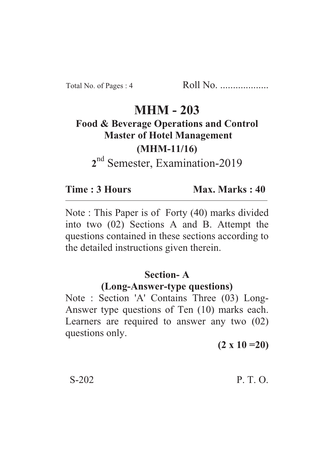Total No. of Pages : 4 Roll No. ...................

# **MHM - 203**

**Food & Beverage Operations and Control Master of Hotel Management (MHM-11/16)**

**2** nd Semester, Examination-2019

**Time : 3 Hours Max. Marks : 40** 

Note : This Paper is of Forty (40) marks divided into two (02) Sections A and B. Attempt the questions contained in these sections according to the detailed instructions given therein.

### **Section- A**

#### **(Long-Answer-type questions)**

Note : Section 'A' Contains Three (03) Long-Answer type questions of Ten (10) marks each. Learners are required to answer any two (02) questions only.

**(2 x 10 =20)**

### S-202 P. T. O.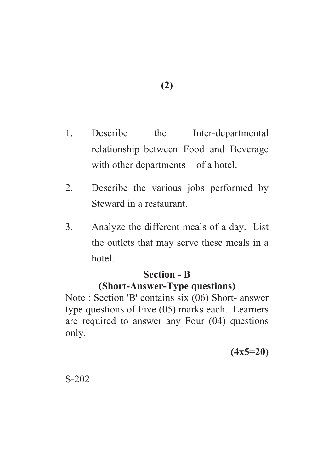- 1. Describe the Inter-departmental relationship between Food and Beverage with other departments of a hotel.
- 2. Describe the various jobs performed by Steward in a restaurant.
- 3. Analyze the different meals of a day. List the outlets that may serve these meals in a hotel.

## **Section - B**

# **(Short-Answer-Type questions)**

Note : Section 'B' contains six (06) Short- answer type questions of Five (05) marks each. Learners are required to answer any Four (04) questions only.

**(4x5=20)**

S-202